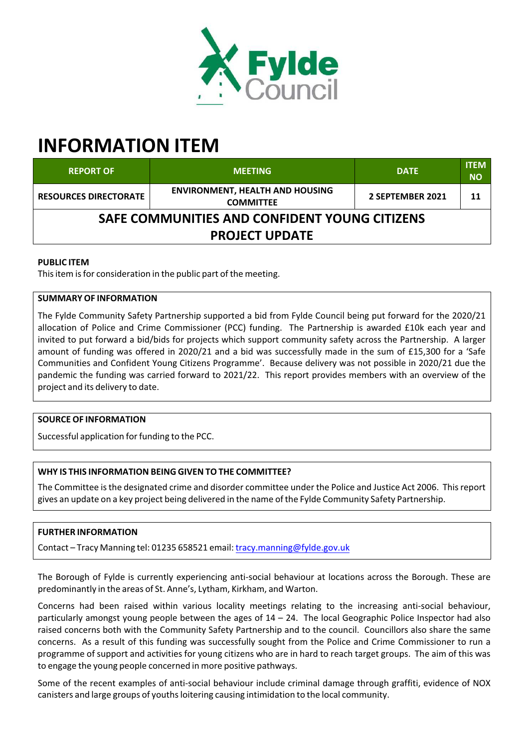

# **INFORMATION ITEM**

| <b>REPORT OF</b>                              | <b>MEETING</b>                                             | <b>DATE</b>      | <b>ITEM</b><br><b>NO</b> |  |  |  |  |  |
|-----------------------------------------------|------------------------------------------------------------|------------------|--------------------------|--|--|--|--|--|
| <b>RESOURCES DIRECTORATE</b>                  | <b>ENVIRONMENT, HEALTH AND HOUSING</b><br><b>COMMITTEE</b> | 2 SEPTEMBER 2021 | 11                       |  |  |  |  |  |
| SAFE COMMUNITIES AND CONFIDENT YOUNG CITIZENS |                                                            |                  |                          |  |  |  |  |  |
| <b>PROJECT UPDATE</b>                         |                                                            |                  |                          |  |  |  |  |  |

## **PUBLIC ITEM**

This item is for consideration in the public part of the meeting.

## **SUMMARY OF INFORMATION**

The Fylde Community Safety Partnership supported a bid from Fylde Council being put forward for the 2020/21 allocation of Police and Crime Commissioner (PCC) funding. The Partnership is awarded £10k each year and invited to put forward a bid/bids for projects which support community safety across the Partnership. A larger amount of funding was offered in 2020/21 and a bid was successfully made in the sum of £15,300 for a 'Safe Communities and Confident Young Citizens Programme'. Because delivery was not possible in 2020/21 due the pandemic the funding was carried forward to 2021/22. This report provides members with an overview of the project and its delivery to date.

# **SOURCE OF INFORMATION**

Successful application for funding to the PCC.

# **WHY IS THIS INFORMATION BEING GIVEN TO THE COMMITTEE?**

The Committee is the designated crime and disorder committee under the Police and Justice Act 2006. This report gives an update on a key project being delivered in the name of the Fylde Community Safety Partnership.

# **FURTHER INFORMATION**

Contact – Tracy Manning tel: 01235 658521 email: tracy.manning@fylde.gov.uk

The Borough of Fylde is currently experiencing anti‐social behaviour at locations across the Borough. These are predominantly in the areas of St. Anne's, Lytham, Kirkham, and Warton.

Concerns had been raised within various locality meetings relating to the increasing anti‐social behaviour, particularly amongst young people between the ages of 14 – 24. The local Geographic Police Inspector had also raised concerns both with the Community Safety Partnership and to the council. Councillors also share the same concerns. As a result of this funding was successfully sought from the Police and Crime Commissioner to run a programme of support and activities for young citizens who are in hard to reach target groups. The aim of this was to engage the young people concerned in more positive pathways.

Some of the recent examples of anti‐social behaviour include criminal damage through graffiti, evidence of NOX canisters and large groups of youths loitering causing intimidation to the local community.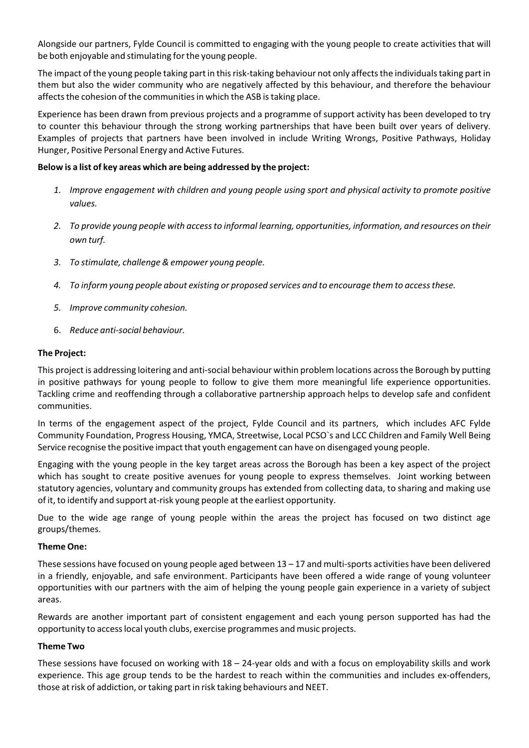Alongside our partners, Fylde Council is committed to engaging with the young people to create activities that will be both enjoyable and stimulating for the young people.

The impact of the young people taking part in this risk-taking behaviour not only affects the individuals taking part in them but also the wider community who are negatively affected by this behaviour, and therefore the behaviour affects the cohesion of the communities in which the ASB is taking place.

Experience has been drawn from previous projects and a programme of support activity has been developed to try to counter this behaviour through the strong working partnerships that have been built over years of delivery. Examples of projects that partners have been involved in include Writing Wrongs, Positive Pathways, Holiday Hunger, Positive Personal Energy and Active Futures.

## **Below is a list of key areas which are being addressed by the project:**

- *1. Improve engagement with children and young people using sport and physical activity to promote positive values.*
- *2. To provide young people with accessto informal learning, opportunities, information, and resources on their own turf.*
- *3. To stimulate, challenge& empower young people.*
- *4. To inform young people about existing or proposed services and to encourage them to accessthese.*
- *5. Improve community cohesion.*
- 6. *Reduce anti‐social behaviour.*

## **The Project:**

This project is addressing loitering and anti‐social behaviour within problem locations acrossthe Borough by putting in positive pathways for young people to follow to give them more meaningful life experience opportunities. Tackling crime and reoffending through a collaborative partnership approach helps to develop safe and confident communities.

In terms of the engagement aspect of the project, Fylde Council and its partners, which includes AFC Fylde Community Foundation, Progress Housing, YMCA, Streetwise, Local PCSO`s and LCC Children and Family Well Being Service recognise the positive impact that youth engagement can have on disengaged young people.

Engaging with the young people in the key target areas across the Borough has been a key aspect of the project which has sought to create positive avenues for young people to express themselves. Joint working between statutory agencies, voluntary and community groups has extended from collecting data, to sharing and making use of it, to identify and support at‐risk young people at the earliest opportunity.

Due to the wide age range of young people within the areas the project has focused on two distinct age groups/themes.

#### **Theme One:**

These sessions have focused on young people aged between 13 – 17 and multi‐sports activities have been delivered in a friendly, enjoyable, and safe environment. Participants have been offered a wide range of young volunteer opportunities with our partners with the aim of helping the young people gain experience in a variety of subject areas.

Rewards are another important part of consistent engagement and each young person supported has had the opportunity to accesslocal youth clubs, exercise programmes and music projects.

#### **Theme Two**

These sessions have focused on working with  $18 - 24$ -year olds and with a focus on employability skills and work experience. This age group tends to be the hardest to reach within the communities and includes ex-offenders, those atrisk of addiction, ortaking part in risk taking behaviours and NEET.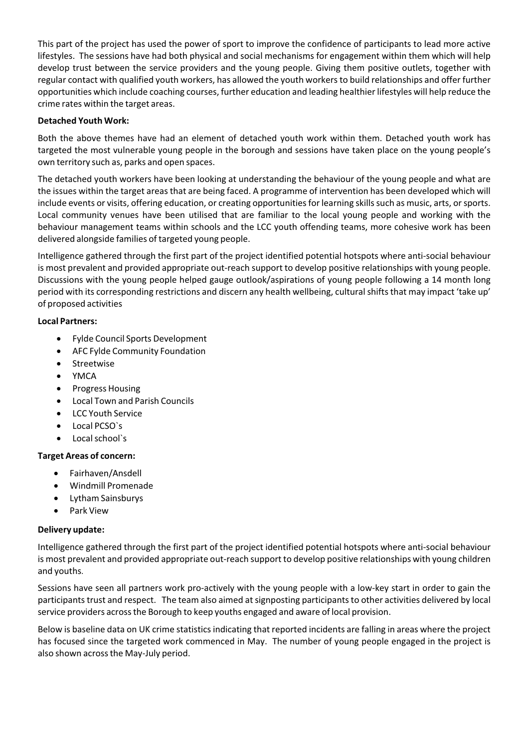This part of the project has used the power of sport to improve the confidence of participants to lead more active lifestyles. The sessions have had both physical and social mechanisms for engagement within them which will help develop trust between the service providers and the young people. Giving them positive outlets, together with regular contact with qualified youth workers, has allowed the youth workersto build relationships and offer further opportunities which include coaching courses, further education and leading healthier lifestyles will help reduce the crime rates within the target areas.

## **Detached Youth Work:**

Both the above themes have had an element of detached youth work within them. Detached youth work has targeted the most vulnerable young people in the borough and sessions have taken place on the young people's own territory such as, parks and open spaces.

The detached youth workers have been looking at understanding the behaviour of the young people and what are the issues within the target areasthat are being faced. A programme of intervention has been developed which will include events or visits, offering education, or creating opportunities for learning skills such as music, arts, or sports. Local community venues have been utilised that are familiar to the local young people and working with the behaviour management teams within schools and the LCC youth offending teams, more cohesive work has been delivered alongside families of targeted young people.

Intelligence gathered through the first part of the project identified potential hotspots where anti‐social behaviour is most prevalent and provided appropriate out-reach support to develop positive relationships with young people. Discussions with the young people helped gauge outlook/aspirations of young people following a 14 month long period with its corresponding restrictions and discern any health wellbeing, cultural shifts that may impact 'take up' of proposed activities

#### **Local Partners:**

- Fylde Council Sports Development
- AFC Fylde Community Foundation
- Streetwise
- YMCA
- Progress Housing
- Local Town and Parish Councils
- LCC Youth Service
- Local PCSO`s
- Local school`s

# **Target Areas of concern:**

- Fairhaven/Ansdell
- Windmill Promenade
- Lytham Sainsburys
- Park View

# **Delivery update:**

Intelligence gathered through the first part of the project identified potential hotspots where anti‐social behaviour is most prevalent and provided appropriate out-reach support to develop positive relationships with young children and youths.

Sessions have seen all partners work pro-actively with the young people with a low-key start in order to gain the participants trust and respect. The team also aimed at signposting participants to other activities delivered by local service providers acrossthe Borough to keep youths engaged and aware of local provision.

Below is baseline data on UK crime statistics indicating that reported incidents are falling in areas where the project has focused since the targeted work commenced in May. The number of young people engaged in the project is also shown acrossthe May‐July period.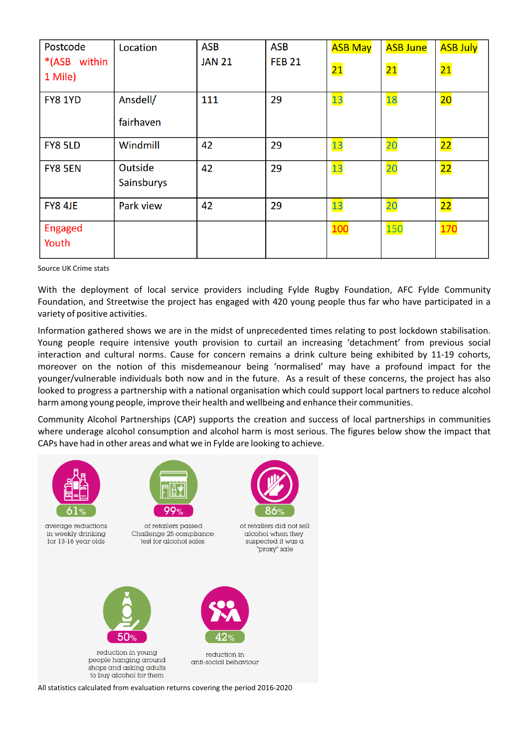| Postcode       | Location   | <b>ASB</b>    | <b>ASB</b>    | <b>ASB May</b>  | <b>ASB June</b> | <b>ASB July</b> |
|----------------|------------|---------------|---------------|-----------------|-----------------|-----------------|
| *(ASB within   |            | <b>JAN 21</b> | <b>FEB 21</b> | $\overline{21}$ | $\overline{21}$ | $\overline{21}$ |
| 1 Mile)        |            |               |               |                 |                 |                 |
| <b>FY8 1YD</b> | Ansdell/   | 111           | 29            | <b>13</b>       | <b>18</b>       | 20              |
|                | fairhaven  |               |               |                 |                 |                 |
| FY8 5LD        | Windmill   | 42            | 29            | <u>13</u>       | <b>20</b>       | 22              |
| FY8 5EN        | Outside    | 42            | 29            | 13              | <b>20</b>       | $\overline{22}$ |
|                | Sainsburys |               |               |                 |                 |                 |
| FY8 4JE        | Park view  | 42            | 29            | 13              | 20              | 22              |
| <b>Engaged</b> |            |               |               | 100             | 150             | <b>170</b>      |
| Youth          |            |               |               |                 |                 |                 |

Source UK Crime stats

With the deployment of local service providers including Fylde Rugby Foundation, AFC Fylde Community Foundation, and Streetwise the project has engaged with 420 young people thus far who have participated in a variety of positive activities.

Information gathered shows we are in the midst of unprecedented times relating to post lockdown stabilisation. Young people require intensive youth provision to curtail an increasing 'detachment' from previous social interaction and cultural norms. Cause for concern remains a drink culture being exhibited by 11‐19 cohorts, moreover on the notion of this misdemeanour being 'normalised' may have a profound impact for the younger/vulnerable individuals both now and in the future. As a result of these concerns, the project has also looked to progress a partnership with a national organisation which could support local partners to reduce alcohol harm among young people, improve their health and wellbeing and enhance their communities.

Community Alcohol Partnerships (CAP) supports the creation and success of local partnerships in communities where underage alcohol consumption and alcohol harm is most serious. The figures below show the impact that CAPs have had in other areas and what we in Fylde are looking to achieve.



All statistics calculated from evaluation returns covering the period 2016‐2020